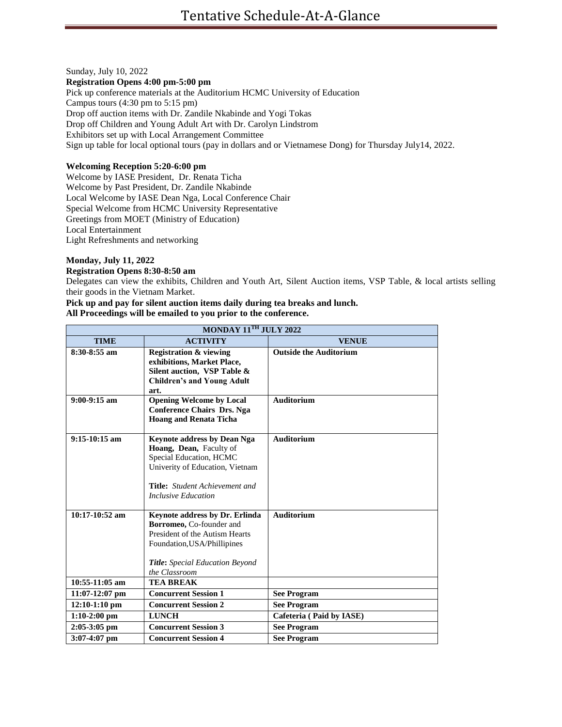Sunday, July 10, 2022

#### **Registration Opens 4:00 pm-5:00 pm**

Pick up conference materials at the Auditorium HCMC University of Education Campus tours (4:30 pm to 5:15 pm) Drop off auction items with Dr. Zandile Nkabinde and Yogi Tokas Drop off Children and Young Adult Art with Dr. Carolyn Lindstrom Exhibitors set up with Local Arrangement Committee Sign up table for local optional tours (pay in dollars and or Vietnamese Dong) for Thursday July14, 2022.

## **Welcoming Reception 5:20-6:00 pm**

Welcome by IASE President, Dr. Renata Ticha Welcome by Past President, Dr. Zandile Nkabinde Local Welcome by IASE Dean Nga, Local Conference Chair Special Welcome from HCMC University Representative Greetings from MOET (Ministry of Education) Local Entertainment Light Refreshments and networking

## **Monday, July 11, 2022**

## **Registration Opens 8:30-8:50 am**

Delegates can view the exhibits, Children and Youth Art, Silent Auction items, VSP Table, & local artists selling their goods in the Vietnam Market.

#### **Pick up and pay for silent auction items daily during tea breaks and lunch. All Proceedings will be emailed to you prior to the conference.**

| MONDAY 11TH JULY 2022 |                                                                                                                                                                                                    |                               |  |
|-----------------------|----------------------------------------------------------------------------------------------------------------------------------------------------------------------------------------------------|-------------------------------|--|
| <b>TIME</b>           | <b>ACTIVITY</b>                                                                                                                                                                                    | <b>VENUE</b>                  |  |
| 8:30-8:55 am          | <b>Registration &amp; viewing</b><br>exhibitions, Market Place,<br>Silent auction, VSP Table &<br><b>Children's and Young Adult</b><br>art.                                                        | <b>Outside the Auditorium</b> |  |
| $9:00-9:15$ am        | <b>Opening Welcome by Local</b><br><b>Conference Chairs Drs. Nga</b><br><b>Hoang and Renata Ticha</b>                                                                                              | <b>Auditorium</b>             |  |
| $9:15-10:15$ am       | <b>Keynote address by Dean Nga</b><br>Hoang, Dean, Faculty of<br>Special Education, HCMC<br>Univerity of Education, Vietnam<br><b>Title:</b> Student Achievement and<br><b>Inclusive Education</b> | <b>Auditorium</b>             |  |
| $10:17-10:52$ am      | Keynote address by Dr. Erlinda<br>Borromeo, Co-founder and<br>President of the Autism Hearts<br>Foundation, USA/Phillipines<br>Title: Special Education Beyond<br>the Classroom                    | <b>Auditorium</b>             |  |
| $10:55-11:05$ am      | <b>TEA BREAK</b>                                                                                                                                                                                   |                               |  |
| $11:07-12:07$ pm      | <b>Concurrent Session 1</b>                                                                                                                                                                        | <b>See Program</b>            |  |
| $12:10-1:10$ pm       | <b>Concurrent Session 2</b>                                                                                                                                                                        | <b>See Program</b>            |  |
| $1:10-2:00$ pm        | <b>LUNCH</b>                                                                                                                                                                                       | Cafeteria (Paid by IASE)      |  |
| $2:05-3:05$ pm        | <b>Concurrent Session 3</b>                                                                                                                                                                        | <b>See Program</b>            |  |
| $3:07-4:07$ pm        | <b>Concurrent Session 4</b>                                                                                                                                                                        | <b>See Program</b>            |  |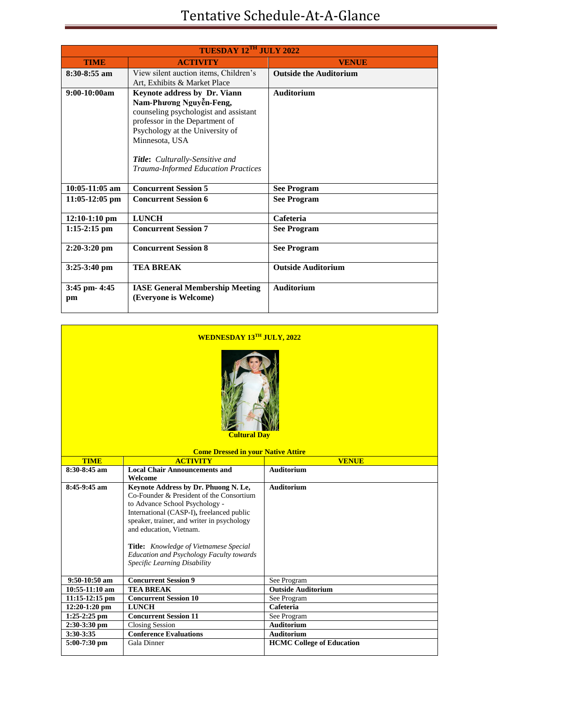| TUESDAY 12TH JULY 2022 |                                                                                                                                                                                                                                                                                 |                               |  |  |
|------------------------|---------------------------------------------------------------------------------------------------------------------------------------------------------------------------------------------------------------------------------------------------------------------------------|-------------------------------|--|--|
| <b>TIME</b>            | <b>ACTIVITY</b>                                                                                                                                                                                                                                                                 | <b>VENUE</b>                  |  |  |
| $8:30 - 8:55$ am       | View silent auction items, Children's<br>Art, Exhibits & Market Place                                                                                                                                                                                                           | <b>Outside the Auditorium</b> |  |  |
| $9:00-10:00am$         | <b>Keynote address by Dr. Viann</b><br>Nam-Phương Nguyễn-Feng,<br>counseling psychologist and assistant<br>professor in the Department of<br>Psychology at the University of<br>Minnesota, USA<br><b>Title:</b> Culturally-Sensitive and<br>Trauma-Informed Education Practices | <b>Auditorium</b>             |  |  |
| $10:05-11:05$ am       | <b>Concurrent Session 5</b>                                                                                                                                                                                                                                                     | <b>See Program</b>            |  |  |
| $11:05-12:05$ pm       | <b>Concurrent Session 6</b>                                                                                                                                                                                                                                                     | <b>See Program</b>            |  |  |
| $12:10-1:10$ pm        | <b>LUNCH</b>                                                                                                                                                                                                                                                                    | Cafeteria                     |  |  |
| $1:15-2:15$ pm         | <b>Concurrent Session 7</b>                                                                                                                                                                                                                                                     | <b>See Program</b>            |  |  |
| $2:20-3:20$ pm         | <b>Concurrent Session 8</b>                                                                                                                                                                                                                                                     | <b>See Program</b>            |  |  |
| $3:25-3:40$ pm         | <b>TEA BREAK</b>                                                                                                                                                                                                                                                                | <b>Outside Auditorium</b>     |  |  |
| 3:45 pm- 4:45<br>pm    | <b>IASE General Membership Meeting</b><br>(Everyone is Welcome)                                                                                                                                                                                                                 | <b>Auditorium</b>             |  |  |

| <b>WEDNESDAY 13TH JULY, 2022</b>          |                                                                                                                                                                                                                                                                                                                                                                       |                                                       |  |  |
|-------------------------------------------|-----------------------------------------------------------------------------------------------------------------------------------------------------------------------------------------------------------------------------------------------------------------------------------------------------------------------------------------------------------------------|-------------------------------------------------------|--|--|
| <b>Cultural Dav</b>                       |                                                                                                                                                                                                                                                                                                                                                                       |                                                       |  |  |
| <b>Come Dressed in your Native Attire</b> |                                                                                                                                                                                                                                                                                                                                                                       |                                                       |  |  |
| <b>TIME</b><br>8:30-8:45 am               | <b>ACTIVITY</b><br><b>Local Chair Announcements and</b>                                                                                                                                                                                                                                                                                                               | <b>VENUE</b><br><b>Auditorium</b>                     |  |  |
|                                           | Welcome                                                                                                                                                                                                                                                                                                                                                               |                                                       |  |  |
| $8:45-9:45$ am                            | Keynote Address by Dr. Phuong N. Le,<br>Co-Founder & President of the Consortium<br>to Advance School Psychology -<br>International (CASP-I), freelanced public<br>speaker, trainer, and writer in psychology<br>and education, Vietnam.<br>Title: Knowledge of Vietnamese Special<br><b>Education and Psychology Faculty towards</b><br>Specific Learning Disability | <b>Auditorium</b>                                     |  |  |
| 9:50-10:50 am                             | <b>Concurrent Session 9</b>                                                                                                                                                                                                                                                                                                                                           | See Program                                           |  |  |
| 10:55-11:10 am                            | <b>TEA BREAK</b>                                                                                                                                                                                                                                                                                                                                                      | <b>Outside Auditorium</b>                             |  |  |
| $11:15-12:15$ pm                          | <b>Concurrent Session 10</b>                                                                                                                                                                                                                                                                                                                                          | See Program                                           |  |  |
| $12:20-1:20$ pm                           | <b>LUNCH</b>                                                                                                                                                                                                                                                                                                                                                          | Cafeteria                                             |  |  |
| $1:25-2:25$ pm                            | <b>Concurrent Session 11</b>                                                                                                                                                                                                                                                                                                                                          | See Program                                           |  |  |
| $2:30-3:30$ pm                            | <b>Closing Session</b>                                                                                                                                                                                                                                                                                                                                                | <b>Auditorium</b>                                     |  |  |
| 3:30-3:35<br>5:00-7:30 pm                 | <b>Conference Evaluations</b><br>Gala Dinner                                                                                                                                                                                                                                                                                                                          | <b>Auditorium</b><br><b>HCMC College of Education</b> |  |  |